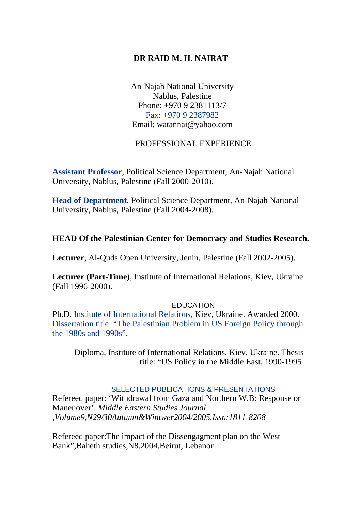# **DR RAID M. H. NAIRAT**

An-Najah National University Nablus, Palestine Phone: +970 9 2381113/7 Fax: +970 9 2387982 Email: watannai@yahoo.com

## PROFESSIONAL EXPERIENCE

**Assistant Professor**, Political Science Department, An-Najah National University, Nablus, Palestine (Fall 2000-2010).

**Head of Department**, Political Science Department, An-Najah National University, Nablus, Palestine (Fall 2004-2008).

## **HEAD Of the Palestinian Center for Democracy and Studies Research.**

**Lecturer**, Al-Quds Open University, Jenin, Palestine (Fall 2002-2005).

**Lecturer (Part-Time)**, Institute of International Relations, Kiev, Ukraine (Fall 1996-2000).

#### **EDUCATION**

Ph.D. Institute of International Relations, Kiev, Ukraine. Awarded 2000. Dissertation title: "The Palestinian Problem in US Foreign Policy through the 1980s and 1990s".

Diploma, Institute of International Relations, Kiev, Ukraine. Thesis title: "US Policy in the Middle East, 1990-1995

### SELECTED PUBLICATIONS & PRESENTATIONS

Refereed paper: 'Withdrawal from Gaza and Northern W.B: Response or Maneuover'. *Middle Eastern Studies Journal ,Volume9,N29/30Autumn&Wintwer2004/2005.Issn:1811-8208* 

Refereed paper:The impact of the Dissengagment plan on the West Bank",Baheth studies,N8.2004.Beirut, Lebanon.